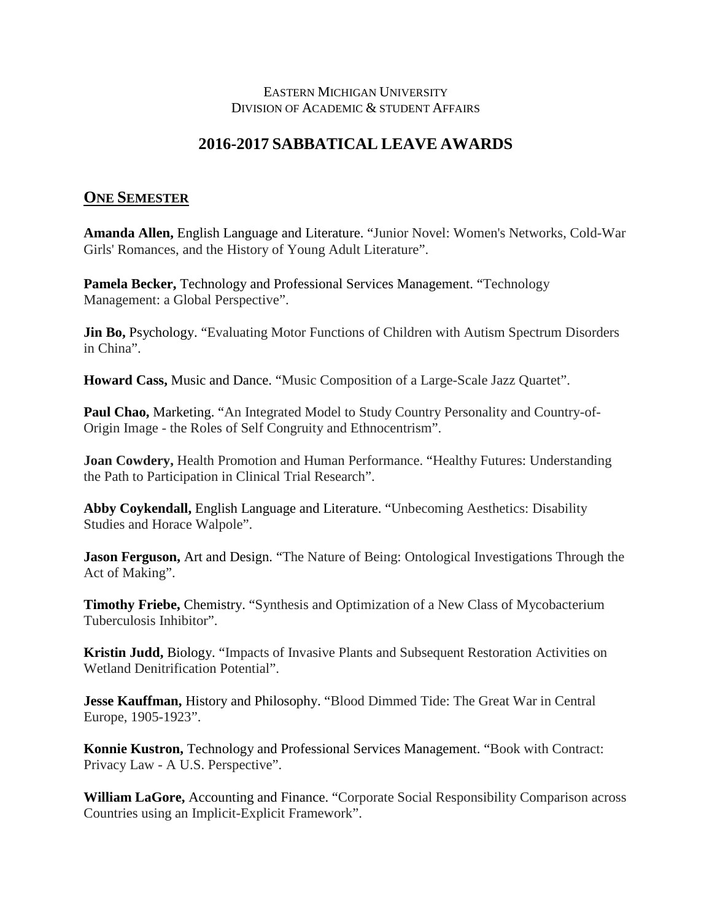## EASTERN MICHIGAN UNIVERSITY DIVISION OF ACADEMIC & STUDENT AFFAIRS

## **2016-2017 SABBATICAL LEAVE AWARDS**

## **ONE SEMESTER**

**Amanda Allen,** English Language and Literature. "Junior Novel: Women's Networks, Cold-War Girls' Romances, and the History of Young Adult Literature".

**Pamela Becker,** Technology and Professional Services Management. "Technology Management: a Global Perspective".

**Jin Bo, Psychology. "Evaluating Motor Functions of Children with Autism Spectrum Disorders** in China".

**Howard Cass,** Music and Dance. "Music Composition of a Large-Scale Jazz Quartet".

**Paul Chao, Marketing. "An Integrated Model to Study Country Personality and Country-of-**Origin Image - the Roles of Self Congruity and Ethnocentrism".

**Joan Cowdery,** Health Promotion and Human Performance. "Healthy Futures: Understanding the Path to Participation in Clinical Trial Research".

**Abby Coykendall,** English Language and Literature. "Unbecoming Aesthetics: Disability Studies and Horace Walpole".

**Jason Ferguson,** Art and Design. "The Nature of Being: Ontological Investigations Through the Act of Making".

**Timothy Friebe,** Chemistry. "Synthesis and Optimization of a New Class of Mycobacterium Tuberculosis Inhibitor".

**Kristin Judd,** Biology. "Impacts of Invasive Plants and Subsequent Restoration Activities on Wetland Denitrification Potential".

**Jesse Kauffman,** History and Philosophy. "Blood Dimmed Tide: The Great War in Central Europe, 1905-1923".

**Konnie Kustron,** Technology and Professional Services Management. "Book with Contract: Privacy Law - A U.S. Perspective".

**William LaGore,** Accounting and Finance. "Corporate Social Responsibility Comparison across Countries using an Implicit-Explicit Framework".